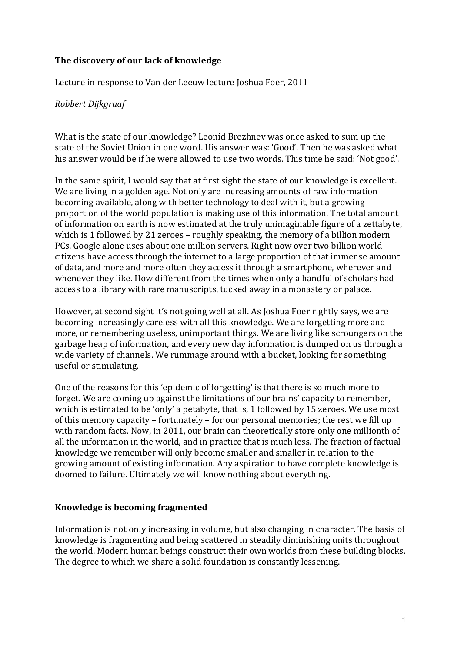### **The discovery of our lack of knowledge**

Lecture in response to Van der Leeuw lecture Joshua Foer, 2011

### *Robbert Dijkgraaf*

What is the state of our knowledge? Leonid Brezhnev was once asked to sum up the state of the Soviet Union in one word. His answer was: 'Good'. Then he was asked what his answer would be if he were allowed to use two words. This time he said: 'Not good'.

In the same spirit, I would say that at first sight the state of our knowledge is excellent. We are living in a golden age. Not only are increasing amounts of raw information becoming available, along with better technology to deal with it, but a growing proportion of the world population is making use of this information. The total amount of information on earth is now estimated at the truly unimaginable figure of a zettabyte, which is 1 followed by 21 zeroes – roughly speaking, the memory of a billion modern PCs. Google alone uses about one million servers. Right now over two billion world citizens have access through the internet to a large proportion of that immense amount of data, and more and more often they access it through a smartphone, wherever and whenever they like. How different from the times when only a handful of scholars had access to a library with rare manuscripts, tucked away in a monastery or palace.

However, at second sight it's not going well at all. As Joshua Foer rightly says, we are becoming increasingly careless with all this knowledge. We are forgetting more and more, or remembering useless, unimportant things. We are living like scroungers on the garbage heap of information, and every new day information is dumped on us through a wide variety of channels. We rummage around with a bucket, looking for something useful or stimulating.

One of the reasons for this 'epidemic of forgetting' is that there is so much more to forget. We are coming up against the limitations of our brains' capacity to remember, which is estimated to be 'only' a petabyte, that is, 1 followed by 15 zeroes. We use most of this memory capacity – fortunately – for our personal memories; the rest we fill up with random facts. Now, in 2011, our brain can theoretically store only one millionth of all the information in the world, and in practice that is much less. The fraction of factual knowledge we remember will only become smaller and smaller in relation to the growing amount of existing information. Any aspiration to have complete knowledge is doomed to failure. Ultimately we will know nothing about everything.

### **Knowledge is becoming fragmented**

Information is not only increasing in volume, but also changing in character. The basis of knowledge is fragmenting and being scattered in steadily diminishing units throughout the world. Modern human beings construct their own worlds from these building blocks. The degree to which we share a solid foundation is constantly lessening.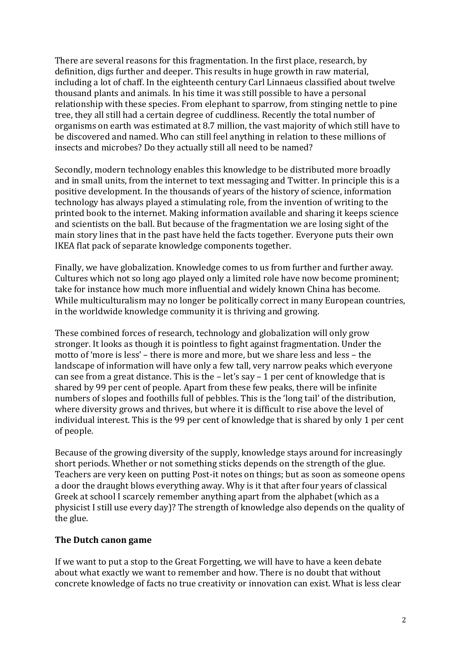There are several reasons for this fragmentation. In the first place, research, by definition, digs further and deeper. This results in huge growth in raw material, including a lot of chaff. In the eighteenth century Carl Linnaeus classified about twelve thousand plants and animals. In his time it was still possible to have a personal relationship with these species. From elephant to sparrow, from stinging nettle to pine tree, they all still had a certain degree of cuddliness. Recently the total number of organisms on earth was estimated at 8.7 million, the vast majority of which still have to be discovered and named. Who can still feel anything in relation to these millions of insects and microbes? Do they actually still all need to be named?

Secondly, modern technology enables this knowledge to be distributed more broadly and in small units, from the internet to text messaging and Twitter. In principle this is a positive development. In the thousands of years of the history of science, information technology has always played a stimulating role, from the invention of writing to the printed book to the internet. Making information available and sharing it keeps science and scientists on the ball. But because of the fragmentation we are losing sight of the main story lines that in the past have held the facts together. Everyone puts their own IKEA flat pack of separate knowledge components together.

Finally, we have globalization. Knowledge comes to us from further and further away. Cultures which not so long ago played only a limited role have now become prominent; take for instance how much more influential and widely known China has become. While multiculturalism may no longer be politically correct in many European countries, in the worldwide knowledge community it is thriving and growing.

These combined forces of research, technology and globalization will only grow stronger. It looks as though it is pointless to fight against fragmentation. Under the motto of 'more is less' – there is more and more, but we share less and less – the landscape of information will have only a few tall, very narrow peaks which everyone can see from a great distance. This is the  $-$  let's say  $-1$  per cent of knowledge that is shared by 99 per cent of people. Apart from these few peaks, there will be infinite numbers of slopes and foothills full of pebbles. This is the 'long tail' of the distribution, where diversity grows and thrives, but where it is difficult to rise above the level of individual interest. This is the 99 per cent of knowledge that is shared by only 1 per cent of people.

Because of the growing diversity of the supply, knowledge stays around for increasingly short periods. Whether or not something sticks depends on the strength of the glue. Teachers are very keen on putting Post-it notes on things; but as soon as someone opens a door the draught blows everything away. Why is it that after four years of classical Greek at school I scarcely remember anything apart from the alphabet (which as a physicist I still use every day)? The strength of knowledge also depends on the quality of the glue.

### **The Dutch canon game**

If we want to put a stop to the Great Forgetting, we will have to have a keen debate about what exactly we want to remember and how. There is no doubt that without concrete knowledge of facts no true creativity or innovation can exist. What is less clear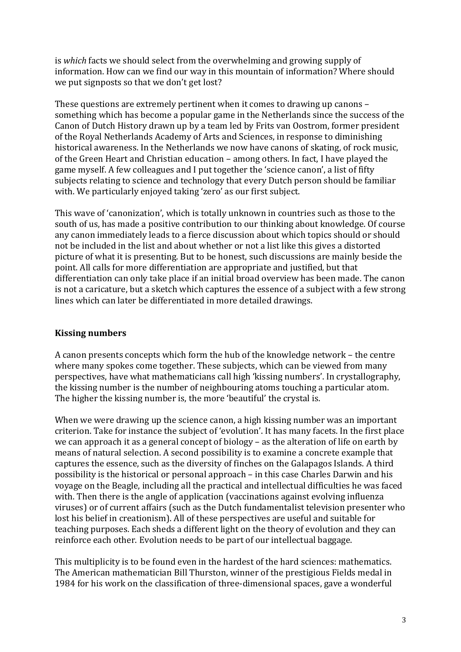is *which* facts we should select from the overwhelming and growing supply of information. How can we find our way in this mountain of information? Where should we put signposts so that we don't get lost?

These questions are extremely pertinent when it comes to drawing up canons – something which has become a popular game in the Netherlands since the success of the Canon of Dutch History drawn up by a team led by Frits van Oostrom, former president of the Royal Netherlands Academy of Arts and Sciences, in response to diminishing historical awareness. In the Netherlands we now have canons of skating, of rock music, of the Green Heart and Christian education – among others. In fact, I have played the game myself. A few colleagues and I put together the 'science canon', a list of fifty subjects relating to science and technology that every Dutch person should be familiar with. We particularly enjoyed taking 'zero' as our first subject.

This wave of 'canonization', which is totally unknown in countries such as those to the south of us, has made a positive contribution to our thinking about knowledge. Of course any canon immediately leads to a fierce discussion about which topics should or should not be included in the list and about whether or not a list like this gives a distorted picture of what it is presenting. But to be honest, such discussions are mainly beside the point. All calls for more differentiation are appropriate and justified, but that differentiation can only take place if an initial broad overview has been made. The canon is not a caricature, but a sketch which captures the essence of a subject with a few strong lines which can later be differentiated in more detailed drawings.

# **Kissing numbers**

A canon presents concepts which form the hub of the knowledge network – the centre where many spokes come together. These subjects, which can be viewed from many perspectives, have what mathematicians call high 'kissing numbers'. In crystallography, the kissing number is the number of neighbouring atoms touching a particular atom. The higher the kissing number is, the more 'beautiful' the crystal is.

When we were drawing up the science canon, a high kissing number was an important criterion. Take for instance the subject of 'evolution'. It has many facets. In the first place we can approach it as a general concept of biology – as the alteration of life on earth by means of natural selection. A second possibility is to examine a concrete example that captures the essence, such as the diversity of finches on the Galapagos Islands. A third possibility is the historical or personal approach – in this case Charles Darwin and his voyage on the Beagle, including all the practical and intellectual difficulties he was faced with. Then there is the angle of application (vaccinations against evolving influenza viruses) or of current affairs (such as the Dutch fundamentalist television presenter who lost his belief in creationism). All of these perspectives are useful and suitable for teaching purposes. Each sheds a different light on the theory of evolution and they can reinforce each other. Evolution needs to be part of our intellectual baggage.

This multiplicity is to be found even in the hardest of the hard sciences: mathematics. The American mathematician Bill Thurston, winner of the prestigious Fields medal in 1984 for his work on the classification of three-dimensional spaces, gave a wonderful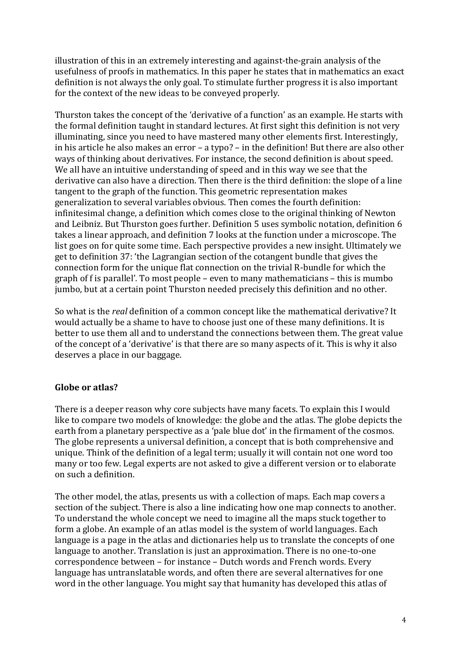illustration of this in an extremely interesting and against-the-grain analysis of the usefulness of proofs in mathematics. In this paper he states that in mathematics an exact definition is not always the only goal. To stimulate further progress it is also important for the context of the new ideas to be conveyed properly.

Thurston takes the concept of the 'derivative of a function' as an example. He starts with the formal definition taught in standard lectures. At first sight this definition is not very illuminating, since you need to have mastered many other elements first. Interestingly, in his article he also makes an error – a typo? – in the definition! But there are also other ways of thinking about derivatives. For instance, the second definition is about speed. We all have an intuitive understanding of speed and in this way we see that the derivative can also have a direction. Then there is the third definition: the slope of a line tangent to the graph of the function. This geometric representation makes generalization to several variables obvious. Then comes the fourth definition: infinitesimal change, a definition which comes close to the original thinking of Newton and Leibniz. But Thurston goes further. Definition 5 uses symbolic notation, definition 6 takes a linear approach, and definition 7 looks at the function under a microscope. The list goes on for quite some time. Each perspective provides a new insight. Ultimately we get to definition 37: 'the Lagrangian section of the cotangent bundle that gives the connection form for the unique flat connection on the trivial R-bundle for which the graph of f is parallel'*.* To most people – even to many mathematicians – this is mumbo jumbo, but at a certain point Thurston needed precisely this definition and no other.

So what is the *real* definition of a common concept like the mathematical derivative? It would actually be a shame to have to choose just one of these many definitions. It is better to use them all and to understand the connections between them. The great value of the concept of a 'derivative' is that there are so many aspects of it. This is why it also deserves a place in our baggage.

# **Globe or atlas?**

There is a deeper reason why core subjects have many facets. To explain this I would like to compare two models of knowledge: the globe and the atlas. The globe depicts the earth from a planetary perspective as a 'pale blue dot' in the firmament of the cosmos. The globe represents a universal definition, a concept that is both comprehensive and unique. Think of the definition of a legal term; usually it will contain not one word too many or too few. Legal experts are not asked to give a different version or to elaborate on such a definition.

The other model, the atlas, presents us with a collection of maps. Each map covers a section of the subject. There is also a line indicating how one map connects to another. To understand the whole concept we need to imagine all the maps stuck together to form a globe. An example of an atlas model is the system of world languages. Each language is a page in the atlas and dictionaries help us to translate the concepts of one language to another. Translation is just an approximation. There is no one-to-one correspondence between – for instance – Dutch words and French words. Every language has untranslatable words, and often there are several alternatives for one word in the other language. You might say that humanity has developed this atlas of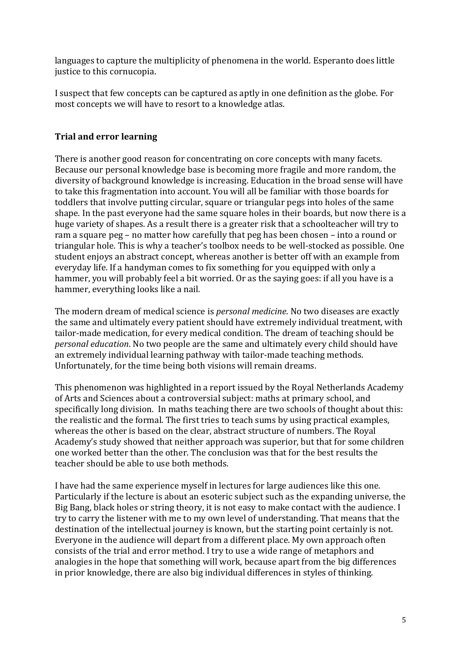languages to capture the multiplicity of phenomena in the world. Esperanto does little justice to this cornucopia.

I suspect that few concepts can be captured as aptly in one definition as the globe. For most concepts we will have to resort to a knowledge atlas.

# **Trial and error learning**

There is another good reason for concentrating on core concepts with many facets. Because our personal knowledge base is becoming more fragile and more random, the diversity of background knowledge is increasing. Education in the broad sense will have to take this fragmentation into account. You will all be familiar with those boards for toddlers that involve putting circular, square or triangular pegs into holes of the same shape. In the past everyone had the same square holes in their boards, but now there is a huge variety of shapes. As a result there is a greater risk that a schoolteacher will try to ram a square peg – no matter how carefully that peg has been chosen – into a round or triangular hole. This is why a teacher's toolbox needs to be well-stocked as possible. One student enjoys an abstract concept, whereas another is better off with an example from everyday life. If a handyman comes to fix something for you equipped with only a hammer, you will probably feel a bit worried. Or as the saying goes: if all you have is a hammer, everything looks like a nail*.*

The modern dream of medical science is *personal medicine*. No two diseases are exactly the same and ultimately every patient should have extremely individual treatment, with tailor-made medication, for every medical condition. The dream of teaching should be *personal education*. No two people are the same and ultimately every child should have an extremely individual learning pathway with tailor-made teaching methods. Unfortunately, for the time being both visions will remain dreams.

This phenomenon was highlighted in a report issued by the Royal Netherlands Academy of Arts and Sciences about a controversial subject: maths at primary school, and specifically long division. In maths teaching there are two schools of thought about this: the realistic and the formal. The first tries to teach sums by using practical examples, whereas the other is based on the clear, abstract structure of numbers. The Royal Academy's study showed that neither approach was superior, but that for some children one worked better than the other. The conclusion was that for the best results the teacher should be able to use both methods.

I have had the same experience myself in lectures for large audiences like this one. Particularly if the lecture is about an esoteric subject such as the expanding universe, the Big Bang, black holes or string theory, it is not easy to make contact with the audience. I try to carry the listener with me to my own level of understanding. That means that the destination of the intellectual journey is known, but the starting point certainly is not. Everyone in the audience will depart from a different place. My own approach often consists of the trial and error method. I try to use a wide range of metaphors and analogies in the hope that something will work, because apart from the big differences in prior knowledge, there are also big individual differences in styles of thinking.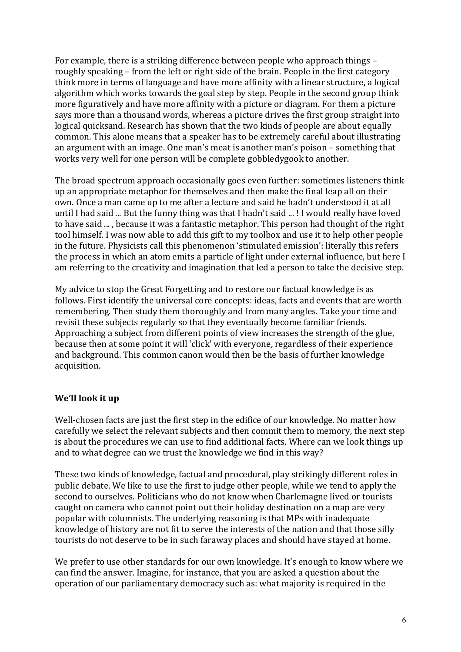For example, there is a striking difference between people who approach things – roughly speaking – from the left or right side of the brain. People in the first category think more in terms of language and have more affinity with a linear structure, a logical algorithm which works towards the goal step by step. People in the second group think more figuratively and have more affinity with a picture or diagram. For them a picture says more than a thousand words, whereas a picture drives the first group straight into logical quicksand. Research has shown that the two kinds of people are about equally common. This alone means that a speaker has to be extremely careful about illustrating an argument with an image. One man's meat is another man's poison – something that works very well for one person will be complete gobbledygook to another.

The broad spectrum approach occasionally goes even further: sometimes listeners think up an appropriate metaphor for themselves and then make the final leap all on their own. Once a man came up to me after a lecture and said he hadn't understood it at all until I had said ... But the funny thing was that I hadn't said ... ! I would really have loved to have said ... , because it was a fantastic metaphor. This person had thought of the right tool himself. I was now able to add this gift to my toolbox and use it to help other people in the future. Physicists call this phenomenon 'stimulated emission': literally this refers the process in which an atom emits a particle of light under external influence, but here I am referring to the creativity and imagination that led a person to take the decisive step.

My advice to stop the Great Forgetting and to restore our factual knowledge is as follows. First identify the universal core concepts: ideas, facts and events that are worth remembering. Then study them thoroughly and from many angles. Take your time and revisit these subjects regularly so that they eventually become familiar friends. Approaching a subject from different points of view increases the strength of the glue, because then at some point it will 'click' with everyone, regardless of their experience and background. This common canon would then be the basis of further knowledge acquisition.

# **We'll look it up**

Well-chosen facts are just the first step in the edifice of our knowledge. No matter how carefully we select the relevant subjects and then commit them to memory, the next step is about the procedures we can use to find additional facts. Where can we look things up and to what degree can we trust the knowledge we find in this way?

These two kinds of knowledge, factual and procedural, play strikingly different roles in public debate. We like to use the first to judge other people, while we tend to apply the second to ourselves. Politicians who do not know when Charlemagne lived or tourists caught on camera who cannot point out their holiday destination on a map are very popular with columnists. The underlying reasoning is that MPs with inadequate knowledge of history are not fit to serve the interests of the nation and that those silly tourists do not deserve to be in such faraway places and should have stayed at home.

We prefer to use other standards for our own knowledge. It's enough to know where we can find the answer. Imagine, for instance, that you are asked a question about the operation of our parliamentary democracy such as: what majority is required in the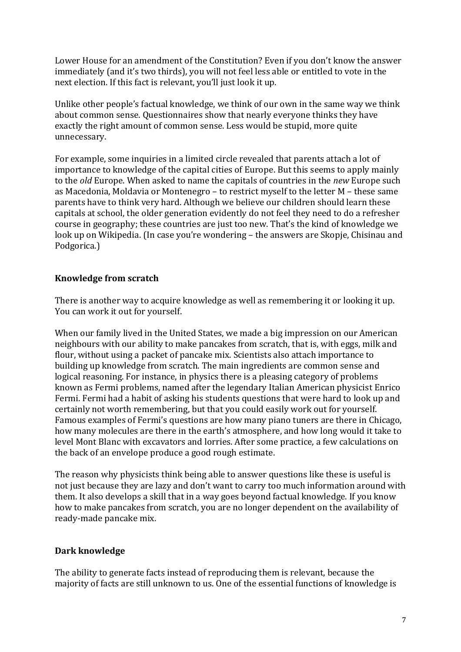Lower House for an amendment of the Constitution? Even if you don't know the answer immediately (and it's two thirds), you will not feel less able or entitled to vote in the next election. If this fact is relevant, you'll just look it up.

Unlike other people's factual knowledge, we think of our own in the same way we think about common sense. Questionnaires show that nearly everyone thinks they have exactly the right amount of common sense. Less would be stupid, more quite unnecessary.

For example, some inquiries in a limited circle revealed that parents attach a lot of importance to knowledge of the capital cities of Europe. But this seems to apply mainly to the *old* Europe. When asked to name the capitals of countries in the *new* Europe such as Macedonia, Moldavia or Montenegro – to restrict myself to the letter M – these same parents have to think very hard. Although we believe our children should learn these capitals at school, the older generation evidently do not feel they need to do a refresher course in geography; these countries are just too new. That's the kind of knowledge we look up on Wikipedia. (In case you're wondering – the answers are Skopje, Chisinau and Podgorica.)

### **Knowledge from scratch**

There is another way to acquire knowledge as well as remembering it or looking it up. You can work it out for yourself.

When our family lived in the United States, we made a big impression on our American neighbours with our ability to make pancakes from scratch, that is, with eggs, milk and flour, without using a packet of pancake mix. Scientists also attach importance to building up knowledge from scratch. The main ingredients are common sense and logical reasoning. For instance, in physics there is a pleasing category of problems known as Fermi problems, named after the legendary Italian American physicist Enrico Fermi. Fermi had a habit of asking his students questions that were hard to look up and certainly not worth remembering, but that you could easily work out for yourself. Famous examples of Fermi's questions are how many piano tuners are there in Chicago, how many molecules are there in the earth's atmosphere, and how long would it take to level Mont Blanc with excavators and lorries. After some practice, a few calculations on the back of an envelope produce a good rough estimate.

The reason why physicists think being able to answer questions like these is useful is not just because they are lazy and don't want to carry too much information around with them. It also develops a skill that in a way goes beyond factual knowledge. If you know how to make pancakes from scratch, you are no longer dependent on the availability of ready-made pancake mix.

### **Dark knowledge**

The ability to generate facts instead of reproducing them is relevant, because the majority of facts are still unknown to us. One of the essential functions of knowledge is